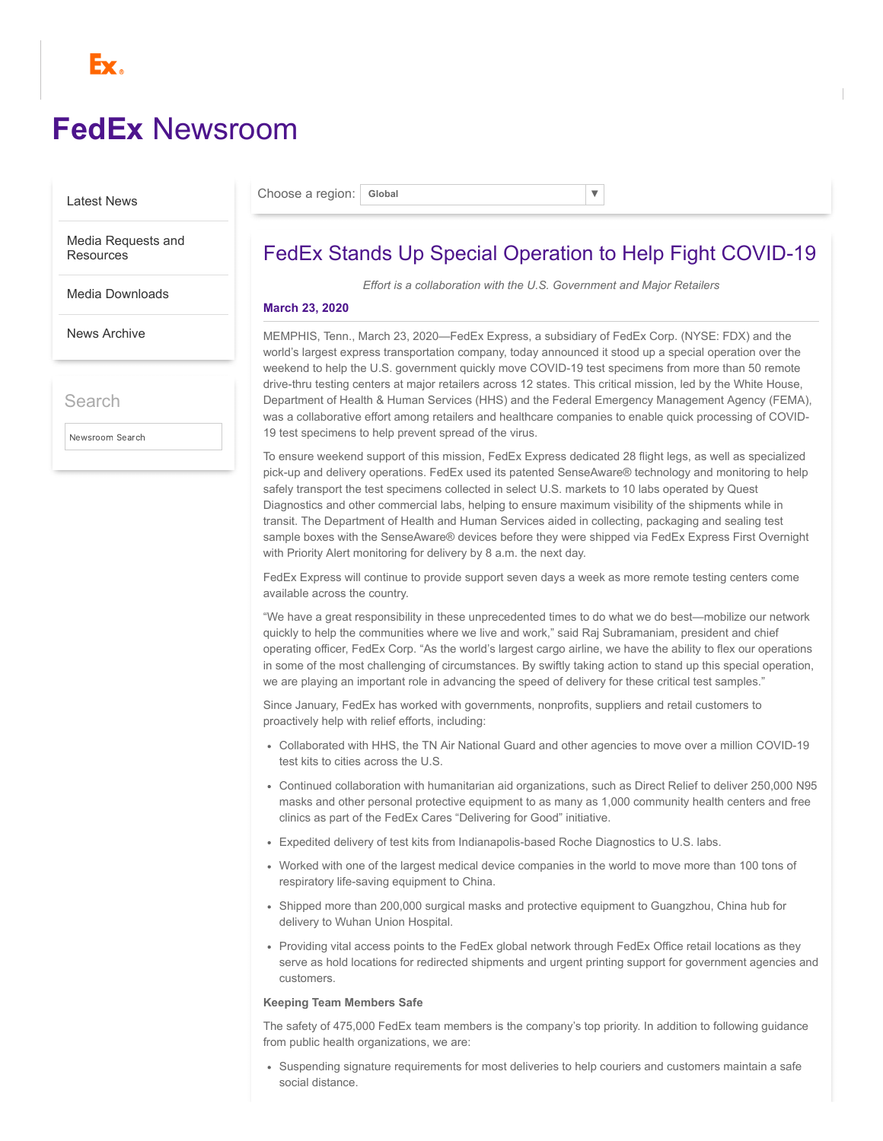

# **FedEx** [Newsroom](https://newsroom.fedex.com/)

[Latest News](https://newsroom.fedex.com/)

Choose a region: **Global** ▼

[Media Requests and](https://newsroom.fedex.com/media-requests/) **Resources** 

[Media Downloads](https://newsroom.fedex.com/media-downloads/)

[News Archive](https://newsroom.fedex.com/news-archive/)

Search

Newsroom Search

## FedEx Stands Up Special Operation to Help Fight COVID-19

*Effort is a collaboration with the U.S. Government and Major Retailers*

### **March 23, 2020**

MEMPHIS, Tenn., March 23, 2020—FedEx Express, a subsidiary of FedEx Corp. (NYSE: FDX) and the world's largest express transportation company, today announced it stood up a special operation over the weekend to help the U.S. government quickly move COVID-19 test specimens from more than 50 remote drive-thru testing centers at major retailers across 12 states. This critical mission, led by the White House, Department of Health & Human Services (HHS) and the Federal Emergency Management Agency (FEMA), was a collaborative effort among retailers and healthcare companies to enable quick processing of COVID-19 test specimens to help prevent spread of the virus.

To ensure weekend support of this mission, FedEx Express dedicated 28 flight legs, as well as specialized pick-up and delivery operations. FedEx used its patented SenseAware® technology and monitoring to help safely transport the test specimens collected in select U.S. markets to 10 labs operated by Quest Diagnostics and other commercial labs, helping to ensure maximum visibility of the shipments while in transit. The Department of Health and Human Services aided in collecting, packaging and sealing test sample boxes with the SenseAware® devices before they were shipped via FedEx Express First Overnight with Priority Alert monitoring for delivery by 8 a.m. the next day.

FedEx Express will continue to provide support seven days a week as more remote testing centers come available across the country.

"We have a great responsibility in these unprecedented times to do what we do best—mobilize our network quickly to help the communities where we live and work," said Raj Subramaniam, president and chief operating officer, FedEx Corp. "As the world's largest cargo airline, we have the ability to flex our operations in some of the most challenging of circumstances. By swiftly taking action to stand up this special operation, we are playing an important role in advancing the speed of delivery for these critical test samples."

Since January, FedEx has worked with governments, nonprofits, suppliers and retail customers to proactively help with relief efforts, including:

- Collaborated with HHS, the TN Air National Guard and other agencies to move over a million COVID-19 test kits to cities across the U.S.
- Continued collaboration with humanitarian aid organizations, such as Direct Relief to deliver 250,000 N95 masks and other personal protective equipment to as many as 1,000 community health centers and free clinics as part of the FedEx Cares "Delivering for Good" initiative.
- Expedited delivery of test kits from Indianapolis-based Roche Diagnostics to U.S. labs.
- Worked with one of the largest medical device companies in the world to move more than 100 tons of respiratory life-saving equipment to China.
- Shipped more than 200,000 surgical masks and protective equipment to Guangzhou, China hub for delivery to Wuhan Union Hospital.
- Providing vital access points to the FedEx global network through FedEx Office retail locations as they serve as hold locations for redirected shipments and urgent printing support for government agencies and customers.

#### **Keeping Team Members Safe**

The safety of 475,000 FedEx team members is the company's top priority. In addition to following guidance from public health organizations, we are:

Suspending signature requirements for most deliveries to help couriers and customers maintain a safe social distance.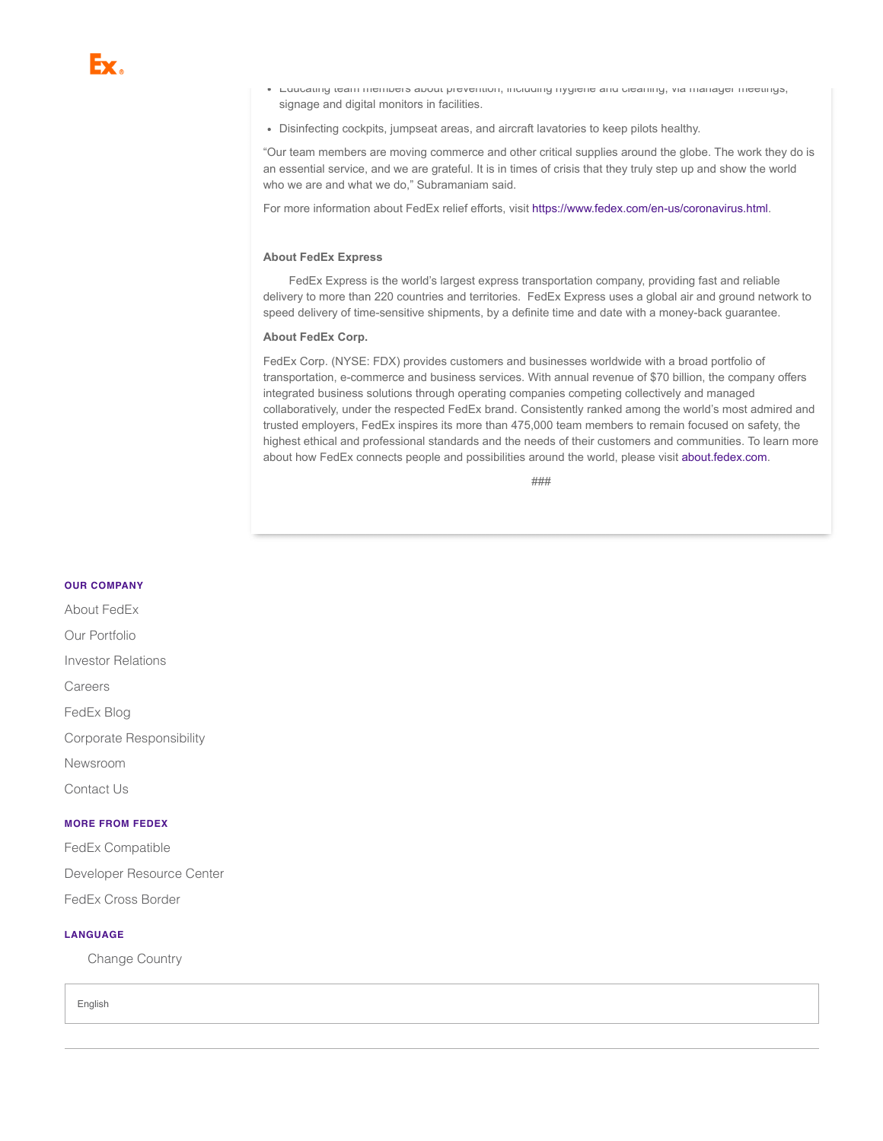- Educating team members about prevention, including hygiene and cleaning, via manager meetings, signage and digital monitors in facilities.
- Disinfecting cockpits, jumpseat areas, and aircraft lavatories to keep pilots healthy.

"Our team members are moving commerce and other critical supplies around the globe. The work they do is an essential service, and we are grateful. It is in times of crisis that they truly step up and show the world who we are and what we do," Subramaniam said.

For more information about FedEx relief efforts, visit [https://www.fedex.com/en-us/coronavirus.html.](https://www.fedex.com/en-us/coronavirus.html)

#### **About FedEx Express**

FedEx Express is the world's largest express transportation company, providing fast and reliable delivery to more than 220 countries and territories. FedEx Express uses a global air and ground network to speed delivery of time-sensitive shipments, by a definite time and date with a money-back guarantee.

#### **About FedEx Corp.**

FedEx Corp. (NYSE: FDX) provides customers and businesses worldwide with a broad portfolio of transportation, e-commerce and business services. With annual revenue of \$70 billion, the company offers integrated business solutions through operating companies competing collectively and managed collaboratively, under the respected FedEx brand. Consistently ranked among the world's most admired and trusted employers, FedEx inspires its more than 475,000 team members to remain focused on safety, the highest ethical and professional standards and the needs of their customers and communities. To learn more about how FedEx connects people and possibilities around the world, please visit [about.fedex.com](https://www.fedex.com/en-us/about.html).

###

#### **OUR COMPANY**

[FedEx Blog](http://about.van.fedex.com/blog/) Corporate [Responsibility](http://about.van.fedex.com/social-responsibility/csr-policy-statements/) [Newsroom](http://about.van.fedex.com/newsroom/global-english/) [Contact](http://www.fedex.com/us/customersupport/email/index.html) Us About [FedEx](http://about.fedex.com/) Our [Portfolio](http://about.van.fedex.com/our-story/company-structure/) Investor [Relations](http://www.fedex.com/us/investorrelations/) [Careers](https://careers.fedex.com/fedex/) **MORE FROM FEDEX**

[FedEx Compatible](http://www.fedex.com/us/compatible/) [Developer](http://www.fedex.com/us/developer) Resource Center [FedEx Cross Border](http://crossborder.fedex.com/us)

#### **LANGUAGE**

[Change](http://www.fedex.com/?location=home) Country

English